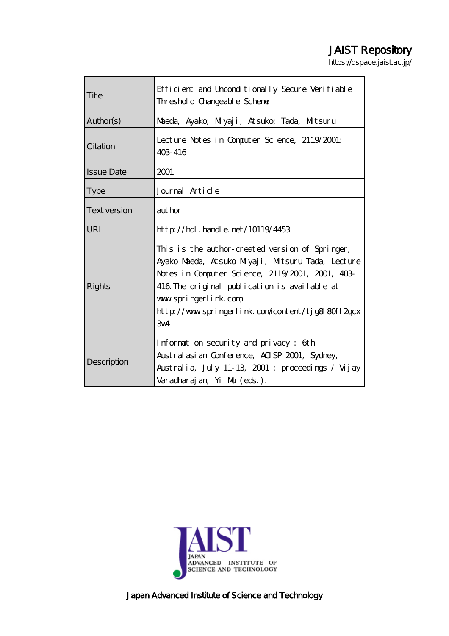# JAIST Repository

https://dspace.jaist.ac.jp/

| Title               | Efficient and Unconditionally Secure Verifiable<br>Threshold Changeable Schene                                                                                                                                                                                                                           |  |  |  |
|---------------------|----------------------------------------------------------------------------------------------------------------------------------------------------------------------------------------------------------------------------------------------------------------------------------------------------------|--|--|--|
| Author(s)           | Maeda, Ayako; Miyaji, Atsuko; Tada, Mitsuru                                                                                                                                                                                                                                                              |  |  |  |
| Citation            | Lecture Notes in Computer Science, 2119/2001:<br>403 416                                                                                                                                                                                                                                                 |  |  |  |
| <b>Issue Date</b>   | 2001                                                                                                                                                                                                                                                                                                     |  |  |  |
| <b>Type</b>         | Journal Article                                                                                                                                                                                                                                                                                          |  |  |  |
| <b>Text version</b> | aut hor                                                                                                                                                                                                                                                                                                  |  |  |  |
| <b>URL</b>          | $http$ // $rdl$ . handle. net/10119/4453                                                                                                                                                                                                                                                                 |  |  |  |
| Rights              | This is the author-created version of Springer,<br>Ayako Maeda, Atsuko Miyaji, Mitsuru Tada, Lecture<br>Notes in Computer Science, 2119/2001, 2001, 403-<br>416 The original publication is available at<br>www.springerlink.com<br>http://www.springerlink.com/content/tjg8l80fl2qcx<br>3 <sub>w4</sub> |  |  |  |
| Description         | Information security and privacy: 6th<br>Austral asian Conference, AISP 2001, Sydney,<br>Australia, July 11-13, 2001 : proceedings / Vujay<br>Varadharajan, Yi Mu (eds.).                                                                                                                                |  |  |  |



Japan Advanced Institute of Science and Technology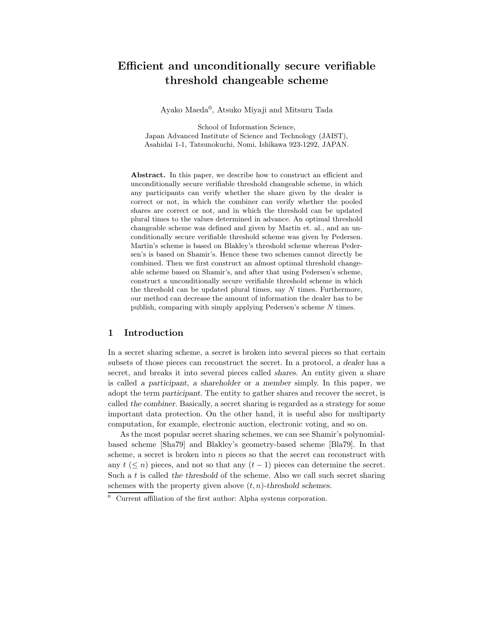# **Efficient and unconditionally secure verifiable threshold changeable scheme**

Ayako Maeda0, Atsuko Miyaji and Mitsuru Tada

School of Information Science, Japan Advanced Institute of Science and Technology (JAIST), Asahidai 1-1, Tatsunokuchi, Nomi, Ishikawa 923-1292, JAPAN.

**Abstract.** In this paper, we describe how to construct an efficient and unconditionally secure verifiable threshold changeable scheme, in which any participants can verify whether the share given by the dealer is correct or not, in which the combiner can verify whether the pooled shares are correct or not, and in which the threshold can be updated plural times to the values determined in advance. An optimal threshold changeable scheme was defined and given by Martin et. al., and an unconditionally secure verifiable threshold scheme was given by Pedersen. Martin's scheme is based on Blakley's threshold scheme whereas Pedersen's is based on Shamir's. Hence these two schemes cannot directly be combined. Then we first construct an *almost* optimal threshold changeable scheme based on Shamir's, and after that using Pedersen's scheme, construct a unconditionally secure verifiable threshold scheme in which the threshold can be updated plural times, say  $N$  times. Furthermore, our method can decrease the amount of information the dealer has to be publish, comparing with simply applying Pedersen's scheme N times.

# **1 Introduction**

In a secret sharing scheme, a *secret* is broken into several pieces so that certain subsets of those pieces can reconstruct the secret. In a protocol, *a dealer* has a secret, and breaks it into several pieces called *shares*. An entity given a share is called *a participant*, *a shareholder* or *a member* simply. In this paper, we adopt the term *participant*. The entity to gather shares and recover the secret, is called *the combiner*. Basically, a secret sharing is regarded as a strategy for some important data protection. On the other hand, it is useful also for multiparty computation, for example, electronic auction, electronic voting, and so on.

As the most popular secret sharing schemes, we can see Shamir's polynomialbased scheme [Sha79] and Blakley's geometry-based scheme [Bla79]. In that scheme, a secret is broken into  $n$  pieces so that the secret can reconstruct with any  $t \leq n$ ) pieces, and not so that any  $(t-1)$  pieces can determine the secret. Such a t is called *the threshold* of the scheme. Also we call such secret sharing schemes with the property given above  $(t, n)$ -threshold schemes.<br> $\frac{1}{0}$  Current affiliation of the first author: Alpha systems corporation

<sup>0</sup> Current affiliation of the first author: Alpha systems corporation.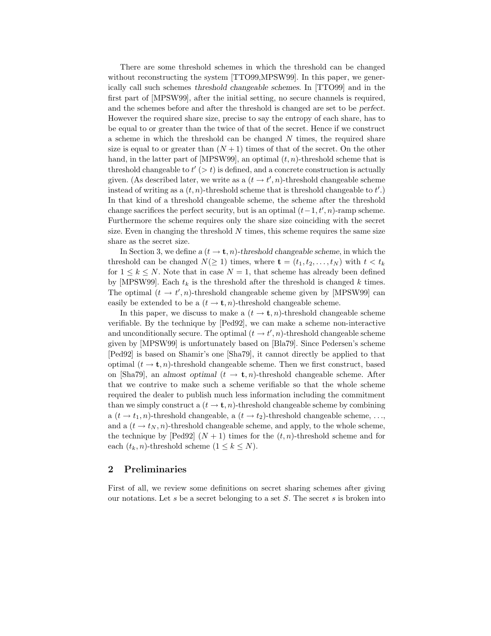There are some threshold schemes in which the threshold can be changed without reconstructing the system [TTO99,MPSW99]. In this paper, we generically call such schemes *threshold changeable schemes*. In [TTO99] and in the first part of [MPSW99], after the initial setting, no secure channels is required, and the schemes before and after the threshold is changed are set to be *perfect*. However the required share size, precise to say the entropy of each share, has to be equal to or greater than the twice of that of the secret. Hence if we construct a scheme in which the threshold can be changed  $N$  times, the required share size is equal to or greater than  $(N+1)$  times of that of the secret. On the other hand, in the latter part of [MPSW99], an optimal  $(t, n)$ -threshold scheme that is threshold changeable to  $t' > t$  is defined, and a concrete construction is actually<br>given  $(A \text{g} \text{ described later, we write as a } (t \rightarrow t' \text{m})$  threshold changeable scheme given. (As described later, we write as a  $(t \to t', n)$ -threshold changeable scheme<br>instead of writing as a  $(t, n)$  threshold scheme that is threshold changeable to  $t'$ ). instead of writing as a  $(t, n)$ -threshold scheme that is threshold changeable to  $t'.$ In that kind of a threshold changeable scheme, the scheme after the threshold change sacrifices the perfect security, but is an optimal  $(t-1, t', n)$ -ramp scheme.<br>Furthermore the scheme requires only the share size coinciding with the secret Furthermore the scheme requires only the share size coinciding with the secret size. Even in changing the threshold  $N$  times, this scheme requires the same size share as the secret size.

In Section 3, we define  $a(t \to t, n)$ -threshold changeable scheme, in which the threshold can be changed  $N(\geq 1)$  times, where  $\mathbf{t} = (t_1, t_2, \ldots, t_N)$  with  $t < t_k$ for  $1 \leq k \leq N$ . Note that in case  $N = 1$ , that scheme has already been defined by [MPSW99]. Each  $t_k$  is the threshold after the threshold is changed k times. The optimal  $(t \to t', n)$ -threshold changeable scheme given by [MPSW99] can<br>easily be extended to be a  $(t \to t, n)$  threshold changeable scheme. easily be extended to be a  $(t \to \mathbf{t}, n)$ -threshold changeable scheme.

In this paper, we discuss to make a  $(t \to \mathbf{t}, n)$ -threshold changeable scheme verifiable. By the technique by [Ped92], we can make a scheme non-interactive and unconditionally secure. The optimal  $(t \to t', n)$ -threshold changeable scheme<br>given by [MPSW00] is unfortunately based on [Bla70]. Since Bedeven's scheme given by [MPSW99] is unfortunately based on [Bla79]. Since Pedersen's scheme [Ped92] is based on Shamir's one [Sha79], it cannot directly be applied to that optimal  $(t \to \mathbf{t}, n)$ -threshold changeable scheme. Then we first construct, based on [Sha79], an *almost optimal*  $(t \to \mathbf{t}, n)$ -threshold changeable scheme. After that we contrive to make such a scheme verifiable so that the whole scheme required the dealer to publish much less information including the commitment than we simply construct a  $(t \to \mathbf{t}, n)$ -threshold changeable scheme by combining a  $(t \to t_1, n)$ -threshold changeable, a  $(t \to t_2)$ -threshold changeable scheme, ..., and a  $(t \rightarrow t_N, n)$ -threshold changeable scheme, and apply, to the whole scheme, the technique by [Ped92]  $(N + 1)$  times for the  $(t, n)$ -threshold scheme and for each  $(t_k, n)$ -threshold scheme  $(1 \leq k \leq N)$ .

# **2 Preliminaries**

First of all, we review some definitions on secret sharing schemes after giving our notations. Let s be a secret belonging to a set  $S$ . The secret s is broken into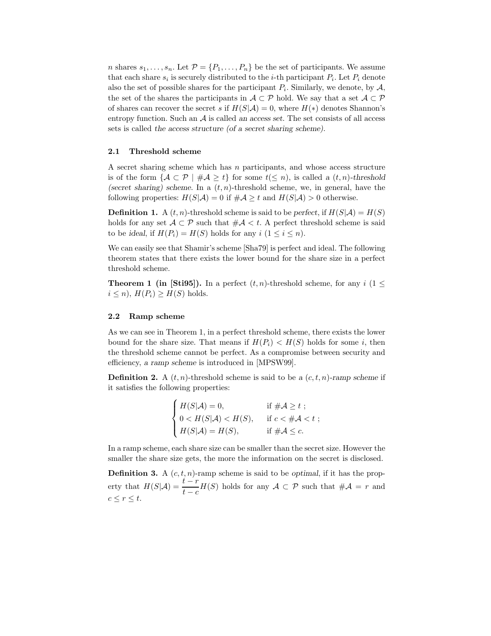*n* shares  $s_1, \ldots, s_n$ . Let  $\mathcal{P} = \{P_1, \ldots, P_n\}$  be the set of participants. We assume that each share  $s_i$  is securely distributed to the *i*-th participant  $P_i$ . Let  $P_i$  denote also the set of possible shares for the participant  $P_i$ . Similarly, we denote, by  $A$ , the set of the shares the participants in  $A\subset\mathcal{P}$  hold. We say that a set  $A\subset\mathcal{P}$ of shares can recover the secret s if  $H(S|\mathcal{A}) = 0$ , where  $H(*)$  denotes Shannon's entropy function. Such an A is called *an access set*. The set consists of all access sets is called *the access structure (of a secret sharing scheme)*.

#### **2.1 Threshold scheme**

A secret sharing scheme which has  $n$  participants, and whose access structure is of the form  $\{A \subset \mathcal{P} \mid \#A > t\}$  for some  $t \leq n$ , is called a  $(t, n)$ -threshold (secret sharing) scheme. In a  $(t, n)$ -threshold scheme, we, in general, have the following properties:  $H(S|\mathcal{A}) = 0$  if  $\#\mathcal{A} \geq t$  and  $H(S|\mathcal{A}) > 0$  otherwise.

**Definition 1.** A  $(t, n)$ -threshold scheme is said to be *perfect*, if  $H(S|\mathcal{A}) = H(S)$ holds for any set  $\mathcal{A} \subset \mathcal{P}$  such that  $\#\mathcal{A} \leq t$ . A perfect threshold scheme is said to be *ideal*, if  $H(P_i) = H(S)$  holds for any  $i (1 \leq i \leq n)$ .

We can easily see that Shamir's scheme [Sha79] is perfect and ideal. The following theorem states that there exists the lower bound for the share size in a perfect threshold scheme.

**Theorem 1 (in [Sti95]).** In a perfect  $(t, n)$ -threshold scheme, for any  $i$  (1  $\leq$  $i \leq n$ ,  $H(P_i) \geq H(S)$  holds.

#### **2.2 Ramp scheme**

As we can see in Theorem 1, in a perfect threshold scheme, there exists the lower bound for the share size. That means if  $H(P_i) < H(S)$  holds for some i, then the threshold scheme cannot be perfect. As a compromise between security and efficiency, *a ramp scheme* is introduced in [MPSW99].

**Definition 2.** A  $(t, n)$ -threshold scheme is said to be *a*  $(c, t, n)$ -ramp scheme if it satisfies the following properties:

$$
\begin{cases}\nH(S|\mathcal{A}) = 0, & \text{if } \# \mathcal{A} \ge t ; \\
0 < H(S|\mathcal{A}) < H(S), \\
H(S|\mathcal{A}) = H(S), & \text{if } \# \mathcal{A} \le c.\n\end{cases}
$$

In a ramp scheme, each share size can be smaller than the secret size. However the smaller the share size gets, the more the information on the secret is disclosed.

**Definition 3.** A  $(c, t, n)$ -ramp scheme is said to be *optimal*, if it has the property that  $H(S|\mathcal{A}) = \frac{t - r}{t - c} H(S)$  holds for any  $\mathcal{A} \subset \mathcal{P}$  such that  $\#\mathcal{A} = r$  and  $c \leq r \leq t$ .  $c \leq r \leq t$ .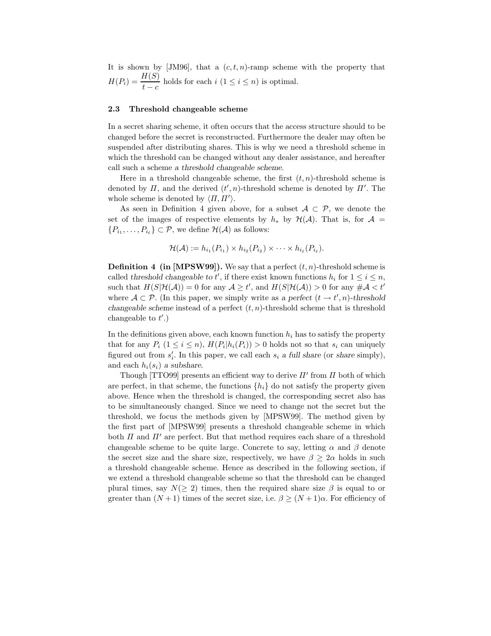It is shown by [JM96], that a  $(c, t, n)$ -ramp scheme with the property that  $H(P_i) = \frac{H(S)}{t - c}$  holds for each  $i$   $(1 \le i \le n)$  is optimal.

#### **2.3 Threshold changeable scheme**

In a secret sharing scheme, it often occurs that the access structure should to be changed before the secret is reconstructed. Furthermore the dealer may often be suspended after distributing shares. This is why we need a threshold scheme in which the threshold can be changed without any dealer assistance, and hereafter call such a scheme *a threshold changeable scheme*.

Here in a threshold changeable scheme, the first  $(t, n)$ -threshold scheme is denoted by  $\Pi$ , and the derived  $(t', n)$ -threshold scheme is denoted by  $\Pi'$ . The whole scheme is denoted by  $(\Pi, \Pi')$ . whole scheme is denoted by  $\langle \Pi, \Pi' \rangle$ .

As seen in Definition 4 given above, for a subset  $\mathcal{A} \subset \mathcal{P}$ , we denote the set of the images of respective elements by  $h_*$  by  $\mathcal{H}(\mathcal{A})$ . That is, for  $\mathcal{A} =$  ${P_{i_1}, \ldots, P_{i_\ell} \} \subset \mathcal{P}$ , we define  $\mathcal{H}(\mathcal{A})$  as follows:

$$
\mathcal{H}(\mathcal{A}) := h_{i_1}(P_{i_1}) \times h_{i_2}(P_{i_2}) \times \cdots \times h_{i_\ell}(P_{i_\ell}).
$$

**Definition 4 (in [MPSW99]).** We say that a perfect  $(t, n)$ -threshold scheme is called *threshold changeable to t'*, if there exist known functions  $h_i$  for  $1 \le i \le n$ ,<br>sugh that  $H(S|\mathcal{H}(A)) = 0$  for any  $A > t'$  and  $H(S|\mathcal{H}(A)) > 0$  for any  $\# A > t'$ such that  $H(S|\mathcal{H}(\mathcal{A})) = 0$  for any  $\mathcal{A} \ge t'$ , and  $H(S|\mathcal{H}(\mathcal{A})) > 0$  for any  $\#\mathcal{A} < t'$ <br>where  $\mathcal{A} \subset \mathcal{D}$  (In this paper, we simply write as a perfect  $(t, \lambda, t' | n)$  threshold where  $\mathcal{A} \subset \mathcal{P}$ . (In this paper, we simply write as a perfect  $(t \to t', n)$ -threshold<br>chargeable scheme instead of a perfect  $(t, n)$  threshold scheme that is threshold *changeable scheme* instead of a perfect  $(t, n)$ -threshold scheme that is threshold changeable to  $t'.$ )

In the definitions given above, each known function  $h_i$  has to satisfy the property that for any  $P_i$   $(1 \leq i \leq n)$ ,  $H(P_i|h_i(P_i)) > 0$  holds not so that  $s_i$  can uniquely figured out from  $s_i'$ . In this paper, we call each  $s_i$  *a full share* (or *share* simply), and each  $h_i(s_i)$  *a subshare.* 

Though [TTO99] presents an efficient way to derive  $\Pi'$  from  $\Pi$  both of which are perfect, in that scheme, the functions  $\{h_i\}$  do not satisfy the property given above. Hence when the threshold is changed, the corresponding secret also has to be simultaneously changed. Since we need to change not the secret but the threshold, we focus the methods given by [MPSW99]. The method given by the first part of [MPSW99] presents a threshold changeable scheme in which both  $\Pi$  and  $\Pi'$  are perfect. But that method requires each share of a threshold changeable scheme to be quite large. Concrete to say, letting  $\alpha$  and  $\beta$  denote the secret size and the share size, respectively, we have  $\beta > 2\alpha$  holds in such a threshold changeable scheme. Hence as described in the following section, if we extend a threshold changeable scheme so that the threshold can be changed plural times, say  $N(\geq 2)$  times, then the required share size  $\beta$  is equal to or greater than  $(N+1)$  times of the secret size, i.e.  $\beta \geq (N+1)\alpha$ . For efficiency of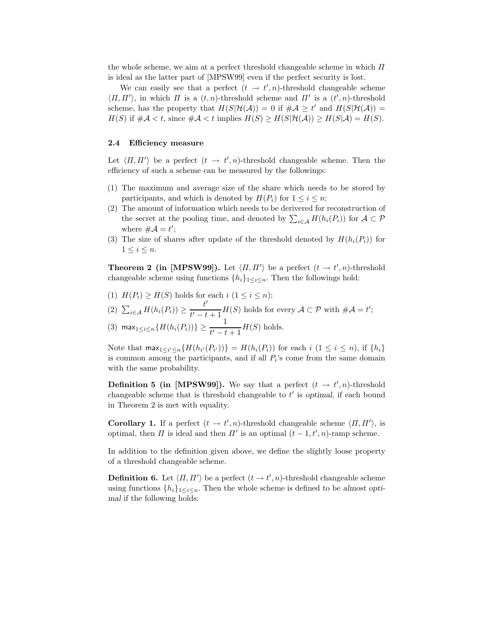the whole scheme, we aim at a perfect threshold changeable scheme in which  $\Pi$ is ideal as the latter part of [MPSW99] even if the perfect security is lost.

We can easily see that a perfect  $(t \to t', n)$ -threshold changeable scheme<br> $H'$  in which  $H$  is a  $(t, n)$  threshold scheme and  $H'$  is a  $(t', n)$  threshold  $\langle \Pi, \Pi' \rangle$ , in which  $\Pi$  is a  $(t, n)$ -threshold scheme and  $\Pi'$  is a  $(t', n)$ -threshold scheme, has the property that  $H(S|\mathcal{H}(A)) = 0$  if  $\#A \ge t'$  and  $H(S|\mathcal{H}(A)) =$ scheme, has the property that  $H(S|\mathcal{H}(A)) = 0$  if  $\#\mathcal{A} \ge t'$  and  $H(S|\mathcal{H}(A)) =$ <br> $H(S)$  if  $\#\mathcal{A} \ge t$  gings  $\#\mathcal{A} \le t$  implies  $H(S) \ge H(S|\mathcal{H}(A)) \ge H(S|\mathcal{A}) = H(S)$  $H(S)$  if  $\#\mathcal{A} < t$ , since  $\#\mathcal{A} < t$  implies  $H(S) \geq H(S|\mathcal{H}(\mathcal{A})) \geq H(S|\mathcal{A}) = H(S)$ .

#### **2.4Efficiency measure**

Let  $\langle \Pi, \Pi' \rangle$  be a perfect  $(t \to t', n)$ -threshold changeable scheme. Then the efficiency of such a scheme can be measured by the followings:

- (1) The maximum and average size of the share which needs to be stored by participants, and which is denoted by  $H(P_i)$  for  $1 \leq i \leq n$ ;
- (2) The amount of information which needs to be derivered for reconstruction of the secret at the pooling time, and denoted by  $\sum_{i \in A} H(h_i(P_i))$  for  $A \subset \mathcal{P}$ <br>where  $\# A = \#$ . where  $\#\mathcal{A} = t'$ ;<br>The size of she
- (3) The size of shares after update of the threshold denoted by  $H(h_i(P_i))$  for  $1 \leq i \leq n$ .

**Theorem 2 (in [MPSW99]).** Let  $\langle \Pi, \Pi' \rangle$  be a perfect  $(t \to t', n)$ -threshold changeable scheme using functions  $[h]$ ,  $\ldots$ . Then the followings hold: changeable scheme using functions  $\{h_i\}_{1\leq i\leq n}$ . Then the followings hold:

- (1)  $H(P_i) \geq H(S)$  holds for each  $i$   $(1 \leq i \leq n);$
- (2)  $\sum_{i\in\mathcal{A}} H(h_i(P_i)) \geq \frac{t'}{t'-t+1}H(S)$  holds for every  $\mathcal{A}\subset\mathcal{P}$  with  $\#\mathcal{A}=t'$ ;  $t'-t+1$
- (3) max<sub>1≤i≤n</sub>{ $H(h_i(P_i))$ } ≥  $\frac{1}{t'-t+1}H(S)$  holds.

Note that  $\max_{1 \leq i' \leq n} \{H(h_{i'}(P_{i'}))\} = H(h_i(P_i))$  for each  $i$   $(1 \leq i \leq n)$ , if  $\{h_i\}$ is common among the participants, and if all  $P_i$ 's come from the same domain with the same probability.

**Definition 5 (in [MPSW99]).** We say that a perfect  $(t \rightarrow t', n)$ -threshold changeable scheme that is threshold changeable to  $t'$  is ordinal if each bound changeable scheme that is threshold changeable to  $t'$  is *optimal*, if each bound<br>in Theorem 2 is not with equality in Theorem 2 is met with equality.

**Corollary 1.** If a perfect  $(t \to t', n)$ -threshold changeable scheme  $\langle \Pi, \Pi' \rangle$ , is original, then  $\Pi$  is ideal and then  $\Pi'$  is an ortimal  $(t \to t', n)$  ramp scheme optimal, then  $\Pi$  is ideal and then  $\Pi'$  is an optimal  $(t-1, t', n)$ -ramp scheme.

In addition to the definition given above, we define the slightly loose property of a threshold changeable scheme.

**Definition 6.** Let  $\langle \Pi, \Pi' \rangle$  be a perfect  $(t \to t', n)$ -threshold changeable scheme<br>using functions  $[h]_{\text{max}}$ . Then the whole scheme is defined to be almost ontiusing functions  $\{h_i\}_{1 \leq i \leq n}$ . Then the whole scheme is defined to be *almost optimal* if the following holds: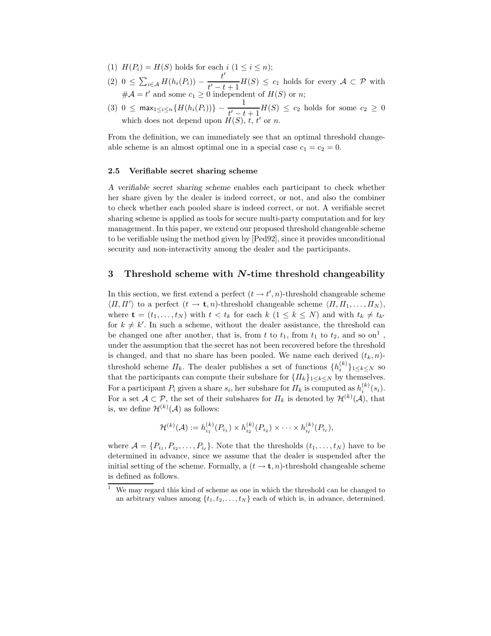- (1)  $H(P_i) = H(S)$  holds for each  $i$   $(1 \leq i \leq n);$
- (2)  $0 \leq \sum_{i \in \mathcal{A}} H(h_i(P_i)) \frac{t'}{t'-t+1} H(S) \leq c_1$  holds for every  $\mathcal{A} \subset \mathcal{P}$  with  $t'-t+1$ <br>0 indepen  $#A = t'$  and some  $c_1 \geq 0$  independent of  $H(S)$  or n;
- (3) 0 ≤ max<sub>1≤i≤n</sub>{ $H(h_i(P_i))$ }  $\frac{1}{t'-t+1}H(S) \leq c_2$  holds for some  $c_2 \geq 0$  $t'-t+1$ <br> $H(S)$ , t, t which does not depend upon  $H(S)$ , t, t' or n.

From the definition, we can immediately see that an optimal threshold changeable scheme is an almost optimal one in a special case  $c_1 = c_2 = 0$ .

#### **2.5 Verifiable secret sharing scheme**

*A verifiable secret sharing scheme* enables each participant to check whether her share given by the dealer is indeed correct, or not, and also the combiner to check whether each pooled share is indeed correct, or not. A verifiable secret sharing scheme is applied as tools for secure multi-party computation and for key management. In this paper, we extend our proposed threshold changeable scheme to be verifiable using the method given by [Ped92], since it provides unconditional security and non-interactivity among the dealer and the participants.

## **3 Threshold scheme with** *N***-time threshold changeability**

In this section, we first extend a perfect  $(t \to t', n)$ -threshold changeable scheme  $\langle \Pi, \Pi' \rangle$  to a perfect  $(t \to \mathbf{t}, n)$ -threshold changeable scheme  $\langle \Pi, \Pi_1, \dots, \Pi_N \rangle$ ,<br>where  $\mathbf{t} = (t_1, t_2)$  with  $t \le t_1$  for each  $k_1 (1 \le k \le N)$  and with  $t_1 \ne t_2$ . where  $\mathbf{t} = (t_1, \ldots, t_N)$  with  $t < t_k$  for each  $k \ (1 \leq k \leq N)$  and with  $t_k \neq t_{k'}$ for  $k \neq k'$ . In such a scheme, without the dealer assistance, the threshold can<br>be shaped one ofter another that is from t to ty from ty to ty and so  $\Omega<sup>1</sup>$ be changed one after another, that is, from t to  $t_1$ , from  $t_1$  to  $t_2$ , and so on<sup>1</sup>, under the assumption that the secret has not been recovered before the threshold is changed, and that no share has been pooled. We name each derived  $(t_k, n)$ threshold scheme  $\Pi_k$ . The dealer publishes a set of functions  $\{h_i^{(k)}\}_{1 \leq k \leq N}$  so<br>that the perticipants can compute their subshare for  $\{\Pi_k\}_{k \geq N}$  is the property that the participants can compute their subshare for  $\{I\}_{k\geq k\leq N}$  by themselves. For a participant  $P_i$  given a share  $s_i$ , her subshare for  $\Pi_k$  is computed as  $h_i^{(k)}(s_i)$ .<br>For a set  $A \subseteq \mathcal{D}$ , the set of their subshares for  $\Pi_k$  is denoted by  $\mathcal{H}^{(k)}(A)$ , that For a set  $A \subset \mathcal{P}$ , the set of their subshares for  $\Pi_k$  is denoted by  $\mathcal{H}^{(k)}(\mathcal{A})$ , that is we define  $\mathcal{H}^{(k)}(\mathcal{A})$  as follows: is, we define  $\mathcal{H}^{(k)}(\mathcal{A})$  as follows:

$$
\mathcal{H}^{(k)}(\mathcal{A}) := h_{i_1}^{(k)}(P_{i_1}) \times h_{i_2}^{(k)}(P_{i_2}) \times \cdots \times h_{i_\ell}^{(k)}(P_{i_\ell}),
$$

where  $\mathcal{A} = \{P_{i_1}, P_{i_2}, \ldots, P_{i_\ell}\}\.$  Note that the thresholds  $(t_1, \ldots, t_N)$  have to be determined in advance, since we assume that the dealer is suspended after the initial setting of the scheme. Formally, a  $(t \to \mathbf{t}, n)$ -threshold changeable scheme is defined as follows.

<sup>&</sup>lt;sup>1</sup> We may regard this kind of scheme as one in which the threshold can be changed to an arbitrary values among  $\{t_1, t_2, \ldots, t_N\}$  each of which is, in advance, determined.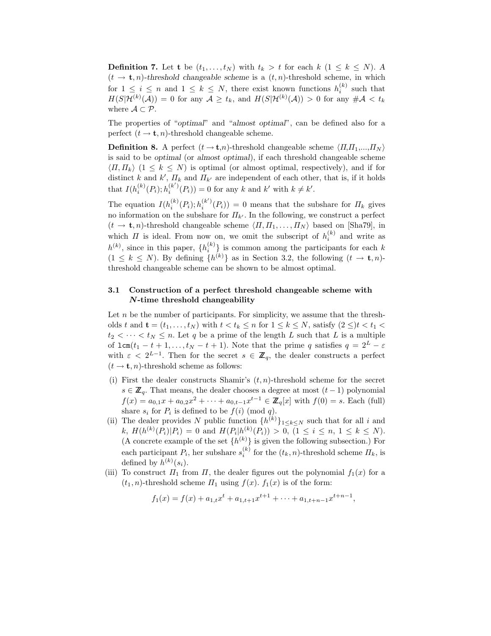**Definition 7.** Let **t** be  $(t_1, \ldots, t_N)$  with  $t_k > t$  for each  $k$  ( $1 \leq k \leq N$ ). A  $(t \rightarrow t, n)$ -threshold changeable scheme is a  $(t, n)$ -threshold scheme, in which for  $1 \leq i \leq n$  and  $1 \leq k \leq N$ , there exist known functions  $h_i^{(k)}$  such that  $H(S|\mathcal{H}^{(k)}(A)) = 0$  for any  $A > t$ , and  $H(S|\mathcal{H}^{(k)}(A)) > 0$  for any  $\# A > t$ .  $H(S|\mathcal{H}^{(k)}(\mathcal{A})) = 0$  for any  $\mathcal{A} \ge t_k$ , and  $H(S|\mathcal{H}^{(k)}(\mathcal{A})) > 0$  for any  $\#\mathcal{A} < t_k$ where  $\mathcal{A} \subset \mathcal{P}$ .

The properties of "*optimal*" and "*almost optimal*", can be defined also for a perfect  $(t \to \mathbf{t}, n)$ -threshold changeable scheme.

**Definition 8.** A perfect  $(t \rightarrow t,n)$ -threshold changeable scheme  $\langle \Pi, \Pi_1, ..., \Pi_N \rangle$ is said to be *optimal* (or *almost optimal*), if each threshold changeable scheme  $\langle \Pi, \Pi_k \rangle$   $(1 \leq k \leq N)$  is optimal (or almost optimal, respectively), and if for distinct k and k',  $\Pi_k$  and  $\Pi_{k'}$  are independent of each other, that is, if it holds<br>that  $I(k^{(k)}(D), k^{(k')}(D)) = 0$  for such and  $k'$  with  $k \neq k'$ that  $I(h_i^{(k)}(P_i); h_i^{(k')}(P_i)) = 0$  for any k and k' with  $k \neq k'$ .

The equation  $I(h_i^{(k)}(P_i); h_i^{(k')}(P_i)) = 0$  means that the subshare for  $\Pi_k$  gives no information on the subshare for  $\Pi_{k'}$ . In the following, we construct a perfect  $(t \to \mathbf{t}, n)$ -threshold changeable scheme  $\langle \Pi, \Pi_1, \ldots, \Pi_N \rangle$  based on [Sha79], in which  $\Pi$  is ideal. From now on, we omit the subscript of  $h_i^{(k)}$  and write as  $h^{(k)}$ , since in this paper,  $\{h_i^{(k)}\}$  is common among the participants for each k<br> $(1 \leq k \leq N)$ . By defining  $[h^{(k)}]$  as in Section 3.2, the following  $(t \to +\infty)$ .  $(1 \leq k \leq N)$ . By defining  $\{h^{(k)}\}$  as in Section 3.2, the following  $(t \to \mathbf{t}, n)$ threshold changeable scheme can be shown to be almost optimal.

# **3.1 Construction of a perfect threshold changeable scheme with** *N***-time threshold changeability**

Let  $n$  be the number of participants. For simplicity, we assume that the thresholds t and  $\mathbf{t} = (t_1, \ldots, t_N)$  with  $t < t_k \leq n$  for  $1 \leq k \leq N$ , satisfy  $(2 \leq)t < t_1 <$  $t_2 < \cdots < t_N \leq n$ . Let q be a prime of the length L such that L is a multiple of  $lcm(t_1 - t + 1,...,t_N - t + 1)$ . Note that the prime q satisfies  $q = 2^L - \varepsilon$ with  $\varepsilon < 2^{L-1}$ . Then for the secret  $s \in \mathbb{Z}_q$ , the dealer constructs a perfect  $(t \rightarrow \mathbf{t}, n)$ -threshold scheme as follows:

- (i) First the dealer constructs Shamir's  $(t, n)$ -threshold scheme for the secret  $s \in \mathbb{Z}_q$ . That means, the dealer chooses a degree at most  $(t-1)$  polynomial  $f(x) = a_{0,1}x + a_{0,2}x^2 + \cdots + a_{0,t-1}x^{t-1} \in \mathbb{Z}_q[x]$  with  $f(0) = s$ . Each (full) share  $s_i$  for  $P_i$  is defined to be  $f(i)$  (mod q).
- (ii) The dealer provides N public function  $\{h^{(k)}\}_{1\leq k\leq N}$  such that for all i and k,  $H(h^{(k)}(P_i)|P_i) = 0$  and  $H(P_i|h^{(k)}(P_i)) > 0$ ,  $(1 \le i \le n, 1 \le k \le N)$ .<br>(A concrete example of the set  $[h^{(k)}]$  is given the following subsection). For (A concrete example of the set  $\{h^{(k)}\}$  is given the following subsection.) For each participant  $P_i$ , her subshare  $s_i^{(k)}$  for the  $(t_k, n)$ -threshold scheme  $\Pi_k$ , is defined by  $h^{(k)}(s_i)$ .
- (iii) To construct  $\Pi_1$  from  $\Pi$ , the dealer figures out the polynomial  $f_1(x)$  for a  $(t_1, n)$ -threshold scheme  $\Pi_1$  using  $f(x)$ .  $f_1(x)$  is of the form:

$$
f_1(x) = f(x) + a_{1,t}x^t + a_{1,t+1}x^{t+1} + \dots + a_{1,t+n-1}x^{t+n-1},
$$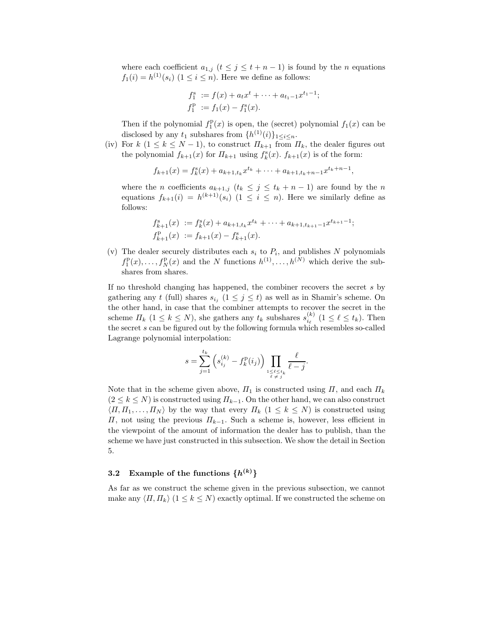where each coefficient  $a_{1,j}$   $(t \leq j \leq t+n-1)$  is found by the *n* equations  $f_1(i) = h^{(1)}(s_i)$   $(1 \leq i \leq n)$ . Here we define as follows:

$$
f_1^s := f(x) + a_t x^t + \dots + a_{t_1 - 1} x^{t_1 - 1};
$$
  
\n
$$
f_1^p := f_1(x) - f_1^s(x).
$$

Then if the polynomial  $f_1^{\text{p}}(x)$  is open, the (secret) polynomial  $f_1(x)$  can be disclosed by any t, subshares from  $\{h^{(1)}(x)\}$ disclosed by any  $t_1$  subshares from  $\{h^{(1)}(i)\}_{1\leq i\leq n}$ .

(iv) For  $k$   $(1 \leq k \leq N-1)$ , to construct  $\Pi_{k+1}$  from  $\Pi_k$ , the dealer figures out the polynomial  $f_{k+1}(x)$  for  $\Pi_{k+1}$  using  $f_k^s(x)$ .  $f_{k+1}(x)$  is of the form:

 $f_{k+1}(x) = f_k^s(x) + a_{k+1,t_k}x^{t_k} + \cdots + a_{k+1,t_k+n-1}x^{t_k+n-1},$ 

where the *n* coefficients  $a_{k+1,j}$   $(t_k \leq j \leq t_k + n - 1)$  are found by the *n* equations  $f_{k+1}(i) = h^{(k+1)}(s_i)$   $(1 \leq i \leq n)$ . Here we similarly define as follows:

$$
f_{k+1}^s(x) := f_k^s(x) + a_{k+1,t_k} x^{t_k} + \dots + a_{k+1,t_{k+1}-1} x^{t_{k+1}-1};
$$
  

$$
f_{k+1}^p(x) := f_{k+1}(x) - f_{k+1}^s(x).
$$

(v) The dealer securely distributes each  $s_i$  to  $P_i$ , and publishes N polynomials  $f_1^{\text{D}}(x), \ldots, f_N^{\text{D}}(x)$  and the N functions  $h^{(1)}, \ldots, h^{(N)}$  which derive the subshares from shares.

If no threshold changing has happened, the combiner recovers the secret s by gathering any t (full) shares  $s_{i_j}$   $(1 \leq j \leq t)$  as well as in Shamir's scheme. On the other hand, in case that the combiner attempts to recover the secret in the scheme  $\Pi_k$   $(1 \leq k \leq N)$ , she gathers any  $t_k$  subshares  $s_{i\ell}^{(k)}$   $(1 \leq \ell \leq t_k)$ . Then the secret s can be figured out by the following formula which resembles so-called Lagrange polynomial interpolation:

$$
s = \sum_{j=1}^{t_k} \left( s_{i_j}^{(k)} - f_k^{\mathbf{p}}(i_j) \right) \prod_{\substack{1 \le \ell \le t_k \\ \ell \ne j}} \frac{\ell}{\ell - j}.
$$

Note that in the scheme given above,  $\Pi_1$  is constructed using  $\Pi$ , and each  $\Pi_k$  $(2 \leq k \leq N)$  is constructed using  $\Pi_{k-1}$ . On the other hand, we can also construct  $\langle \Pi, \Pi_1, \ldots, \Pi_N \rangle$  by the way that every  $\Pi_k$   $(1 \leq k \leq N)$  is constructed using  $\Pi$ , not using the previous  $\Pi_{k-1}$ . Such a scheme is, however, less efficient in the viewpoint of the amount of information the dealer has to publish, than the scheme we have just constructed in this subsection. We show the detail in Section 5.

# **3.2** Example of the functions  $\{h^{(k)}\}$

As far as we construct the scheme given in the previous subsection, we cannot make any  $\langle \Pi, \Pi_k \rangle$   $(1 \leq k \leq N)$  exactly optimal. If we constructed the scheme on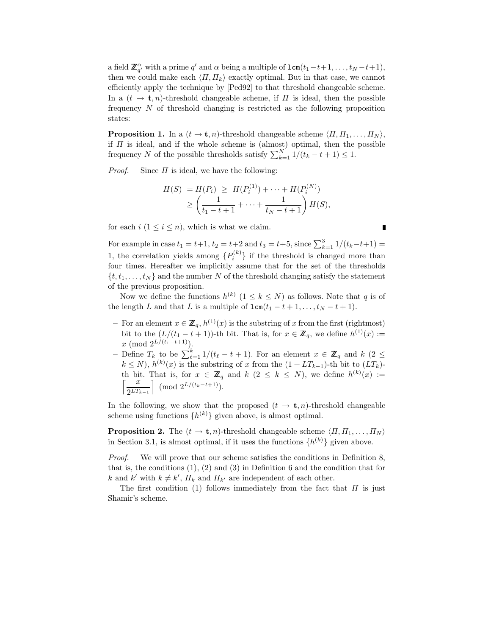a field  $\mathbb{Z}_q^{\alpha}$  with a prime q' and  $\alpha$  being a multiple of  $\text{lcm}(t_1-t+1,\ldots,t_N-t+1)$ ,<br>then we could make each  $\langle H, H_2 \rangle$  exactly orienal. But in that each we cannot then we could make each  $\langle \Pi, \Pi_k \rangle$  exactly optimal. But in that case, we cannot efficiently apply the technique by [Ped92] to that threshold changeable scheme. In a  $(t \to \mathbf{t}, n)$ -threshold changeable scheme, if  $\Pi$  is ideal, then the possible frequency N of threshold changing is restricted as the following proposition states:

**Proposition 1.** In a  $(t \to \mathbf{t}, n)$ -threshold changeable scheme  $\langle \Pi, \Pi_1, \ldots, \Pi_N \rangle$ , if  $\Pi$  is ideal, and if the whole scheme is (almost) optimal, then the possible frequency  $N_c$  of the possible thresholds satisfy  $\sum_{i=1}^{N} 1/(t_c + 1) < 1$ frequency N of the possible thresholds satisfy  $\sum_{k=1}^{N} 1/(t_k - t + 1) \leq 1$ .

*Proof.* Since  $\Pi$  is ideal, we have the following:

$$
H(S) = H(P_i) \ge H(P_i^{(1)}) + \dots + H(P_i^{(N)})
$$
  
\n
$$
\ge \left(\frac{1}{t_1 - t + 1} + \dots + \frac{1}{t_N - t + 1}\right) H(S),
$$

for each  $i$   $(1 \leq i \leq n)$ , which is what we claim.

For example in case  $t_1 = t+1$ ,  $t_2 = t+2$  and  $t_3 = t+5$ , since  $\sum_{k=1}^{3} 1/(t_k-t+1) =$ 1, the correlation yields among  $\{P_i^{(k)}\}$  if the threshold is changed more than four times. Hereafter we implicitly assume that for the set of the thresholds  $\{t, t_1, \ldots, t_N\}$  and the number N of the threshold changing satisfy the statement of the previous proposition.

Now we define the functions  $h^{(k)}$   $(1 \leq k \leq N)$  as follows. Note that q is of the length L and that L is a multiple of  $lcm(t_1 - t + 1, \ldots, t_N - t + 1)$ .

- $-$  For an element  $x \in \mathbb{Z}_q$ ,  $h^{(1)}(x)$  is the substring of x from the first (rightmost) bit to the  $(L/(t_1 - t + 1))$ -th bit. That is, for  $x \in \mathbb{Z}_q$ , we define  $h^{(1)}(x) :=$  $x \pmod{2^{L/(t_1-t+1)}}$ .
- $\overline{L}$  Define  $T_k$  to be  $\sum_{\ell=1}^k 1/(t_\ell-t+1)$ . For an element  $x \in \mathbb{Z}_q$  and  $k$  (2 ≤  $k \leq N$ ),  $h^{(k)}(x)$  is the substring of x from the  $(1 + T_x)$ , it is bit to  $(T_x)$ )  $k \leq N$ ,  $h^{(k)}(x)$  is the substring of x from the  $(1 + LT_{k-1})$ -th bit to  $(LT_k)$ -<br>th bit. That is for  $x \in \mathbb{Z}$  and  $k (2 \leq k \leq N)$ , we define  $h^{(k)}(x) :=$ th bit. That is, for  $x \in \mathbb{Z}_q$  and  $k$   $(2 \leq k \leq N)$ , we define  $h^{(k)}(x) :=$  $\int \frac{x}{2^{LT_{k-1}}}$  $\Big] \pmod{2^{L/(t_k-t+1)}}.$

In the following, we show that the proposed  $(t \to \mathbf{t}, n)$ -threshold changeable scheme using functions  $\{h^{(k)}\}$  given above, is almost optimal.

**Proposition 2.** The  $(t \to \mathbf{t}, n)$ -threshold changeable scheme  $\langle \Pi, \Pi_1, \ldots, \Pi_N \rangle$ in Section 3.1, is almost optimal, if it uses the functions  $\{h^{(k)}\}\$  given above.

*Proof.* We will prove that our scheme satisfies the conditions in Definition 8, that is, the conditions (1), (2) and (3) in Definition 6 and the condition that for k and k' with  $k \neq k'$ ,  $\Pi_k$  and  $\Pi_{k'}$  are independent of each other.<br>The first condition (1) follows immediately from the fact t

The first condition (1) follows immediately from the fact that  $\Pi$  is just Shamir's scheme.

 $\blacksquare$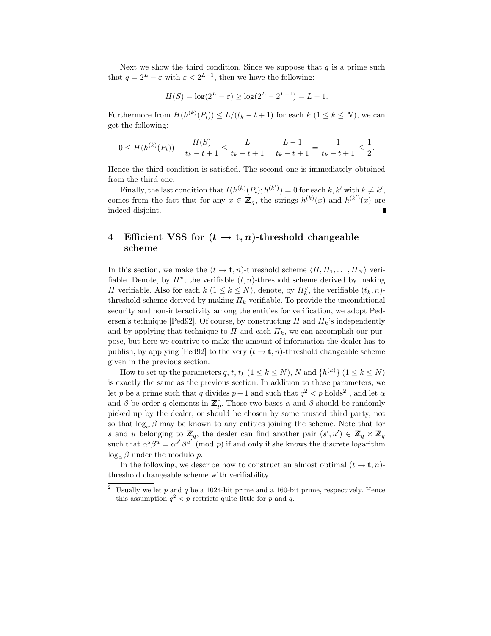Next we show the third condition. Since we suppose that  $q$  is a prime such that  $q = 2^L - \varepsilon$  with  $\varepsilon < 2^{L-1}$ , then we have the following:

$$
H(S) = \log(2^{L} - \varepsilon) \ge \log(2^{L} - 2^{L-1}) = L - 1.
$$

Furthermore from  $H(h^{(k)}(P_i)) \le L/(t_k - t + 1)$  for each  $k$   $(1 \le k \le N)$ , we can get the following:

$$
0 \le H(h^{(k)}(P_i)) - \frac{H(S)}{t_k - t + 1} \le \frac{L}{t_k - t + 1} - \frac{L - 1}{t_k - t + 1} = \frac{1}{t_k - t + 1} \le \frac{1}{2}
$$

Hence the third condition is satisfied. The second one is immediately obtained from the third one.

Finally, the last condition that  $I(h^{(k)}(P_i); h^{(k')}) = 0$  for each k, k' with  $k \neq k'$ , comes from the fact that for any  $x \in \mathbb{Z}_q$ , the strings  $h^{(k)}(x)$  and  $h^{(k')}(x)$  are indeed disjoint.

# **4** Efficient VSS for  $(t \rightarrow t, n)$ -threshold changeable **scheme**

In this section, we make the  $(t \to \mathbf{t}, n)$ -threshold scheme  $\langle \Pi, \Pi_1, \ldots, \Pi_N \rangle$  verifiable. Denote, by  $\Pi^v$ , the verifiable  $(t, n)$ -threshold scheme derived by making *Π* verifiable. Also for each  $k$  ( $1 \le k \le N$ ), denote, by  $\Pi_k^v$ , the verifiable  $(t_k, n)$ -<br>threshold scheme derived by making  $H_k$  verifiable. To provide the unconditional threshold scheme derived by making  $\Pi_k$  verifiable. To provide the unconditional security and non-interactivity among the entities for verification, we adopt Pedersen's technique [Ped92]. Of course, by constructing  $\Pi$  and  $\Pi_k$ 's independently and by applying that technique to  $\Pi$  and each  $\Pi_k$ , we can accomplish our purpose, but here we contrive to make the amount of information the dealer has to publish, by applying [Ped92] to the very  $(t \to \mathbf{t}, n)$ -threshold changeable scheme given in the previous section.

How to set up the parameters q, t,  $t_k$  ( $1 \le k \le N$ ), N and  $\{h^{(k)}\}$  ( $1 \le k \le N$ ) is exactly the same as the previous section. In addition to those parameters, we let p be a prime such that q divides  $p-1$  and such that  $q^2 < p$  holds<sup>2</sup>, and let  $\alpha$ and  $\beta$  be order-q elements in  $\mathbb{Z}_p^*$ . Those two bases  $\alpha$  and  $\beta$  should be randomly picked up by the dealer, or should be chosen by some trusted third party, not so that  $\log_{\alpha} \beta$  may be known to any entities joining the scheme. Note that for s and u belonging to  $\mathbb{Z}_q$ , the dealer can find another pair  $(s', u') \in \mathbb{Z}_q \times \mathbb{Z}_q$ <br>such that  $s^s \beta^u = s^{s'} \beta^{u'}$  (mod n) if and only if the knows the discrete logarithm such that  $\alpha^s \beta^u = \alpha^{s'} \beta^{u'} \pmod{p}$  if and only if she knows the discrete logarithm  $\log_{\alpha} \beta$  under the modulo p.

In the following, we describe how to construct an almost optimal  $(t \to \mathbf{t}, n)$ threshold changeable scheme with verifiability.

<sup>&</sup>lt;sup>2</sup> Usually we let p and q be a 1024-bit prime and a 160-bit prime, respectively. Hence this assumption  $q^2 < p$  restricts quite little for p and q.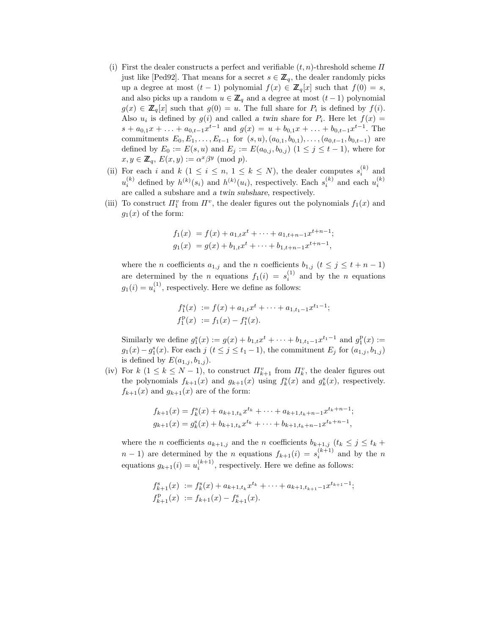- (i) First the dealer constructs a perfect and verifiable  $(t, n)$ -threshold scheme  $\Pi$ just like [Ped92]. That means for a secret  $s \in \mathbb{Z}_q$ , the dealer randomly picks up a degree at most  $(t-1)$  polynomial  $f(x) \in \mathbb{Z}_q[x]$  such that  $f(0) = s$ , and also picks up a random  $u \in \mathbb{Z}_q$  and a degree at most  $(t-1)$  polynomial  $g(x) \in \mathbb{Z}_q[x]$  such that  $g(0) = u$ . The full share for  $P_i$  is defined by  $f(i)$ . Also  $u_i$  is defined by  $g(i)$  and called *a twin share* for  $P_i$ . Here let  $f(x) =$  $s + a_{0,1}x + \ldots + a_{0,t-1}x^{t-1}$  and  $g(x) = u + b_{0,1}x + \ldots + b_{0,t-1}x^{t-1}$ . The commitments  $E_0, E_1, \ldots, E_{t-1}$  for  $(s, u), (a_{0,1}, b_{0,1}), \ldots, (a_{0,t-1}, b_{0,t-1})$  are defined by  $E_0 := E(s, u)$  and  $E_j := E(a_{0,j}, b_{0,j})$   $(1 \le j \le t - 1)$ , where for  $x, y \in \mathbb{Z}_q$ ,  $E(x, y) := \alpha^x \beta^y \pmod{p}$ .
- (ii) For each i and  $k$   $(1 \leq i \leq n, 1 \leq k \leq N)$ , the dealer computes  $s_i^{(k)}$  and  $(k)$  and  $k$   $(k)$  and  $k$   $(k)$  and  $k$   $(k)$  and  $k$   $(k)$  and  $k$   $(k)$  $u_i^{(k)}$  defined by  $h^{(k)}(s_i)$  and  $h^{(k)}(u_i)$ , respectively. Each  $s_i^{(k)}$  and each  $u_i^{(k)}$ are called a subshare and *a twin subshare*, respectively.
- (iii) To construct  $\Pi_1^v$  from  $\Pi^v$ , the dealer figures out the polynomials  $f_1(x)$  and  $g_1(x)$  of the form:  $g_1(x)$  of the form:

$$
f_1(x) = f(x) + a_{1,t}x^t + \dots + a_{1,t+n-1}x^{t+n-1};
$$
  
\n
$$
g_1(x) = g(x) + b_{1,t}x^t + \dots + b_{1,t+n-1}x^{t+n-1},
$$

where the *n* coefficients  $a_{1,j}$  and the *n* coefficients  $b_{1,j}$  ( $t \leq j \leq t + n - 1$ ) are determined by the *n* equations  $f_1(i) = s_i^{(1)}$  and by the *n* equations  $g_1(i) = u_i^{(1)}$ , respectively. Here we define as follows:

$$
f_1^s(x) := f(x) + a_{1,t}x^t + \cdots + a_{1,t_1-1}x^{t_1-1};
$$
  
\n
$$
f_1^p(x) := f_1(x) - f_1^s(x).
$$

Similarly we define  $g_1^s(x) := g(x) + b_{1,t}x^t + \cdots + b_{1,t-1}x^{t-1}$  and  $g_1^p(x) :=$ <br> $g_1(x) = g_2^s(x)$ . For each  $j \neq t \leq j \leq t-1$  the commitment  $F$ , for  $(g_1, h_1)$  $g_1(x) - g_1^s(x)$ . For each  $j$   $(t \leq j \leq t_1 - 1)$ , the commitment  $E_j$  for  $(a_{1,j}, b_{1,j})$ is defined by  $E(a_{1,j}, b_{1,j}).$ 

(iv) For  $k$  ( $1 \le k \le N-1$ ), to construct  $\Pi_{k+1}^v$  from  $\Pi_k^v$ , the dealer figures out the polynomials  $f_{k-1}(x)$  and  $g_k(x)$  using  $f_s(x)$  and  $g_s^s(x)$  respectively the polynomials  $f_{k+1}(x)$  and  $g_{k+1}(x)$  using  $f_k^s(x)$  and  $g_k^s(x)$ , respectively.<br>  $f_{k+1}(x)$  and  $g_{k+1}(x)$  are of the form:  $f_{k+1}(x)$  and  $g_{k+1}(x)$  are of the form:

$$
f_{k+1}(x) = f_k^s(x) + a_{k+1,t_k}x^{t_k} + \dots + a_{k+1,t_k+n-1}x^{t_k+n-1};
$$
  

$$
g_{k+1}(x) = g_k^s(x) + b_{k+1,t_k}x^{t_k} + \dots + b_{k+1,t_k+n-1}x^{t_k+n-1},
$$

where the *n* coefficients  $a_{k+1,j}$  and the *n* coefficients  $b_{k+1,j}$  ( $t_k \leq j \leq t_k +$  $n-1$ ) are determined by the n equations  $f_{k+1}(i) = s_i^{(k+1)}$  and by the n equations  $g_{k+1}(i) = u_i^{(k+1)}$ , respectively. Here we define as follows:

$$
f_{k+1}^{s}(x) := f_{k}^{s}(x) + a_{k+1,t_{k}}x^{t_{k}} + \cdots + a_{k+1,t_{k+1}-1}x^{t_{k+1}-1};
$$
  

$$
f_{k+1}^{p}(x) := f_{k+1}(x) - f_{k+1}^{s}(x).
$$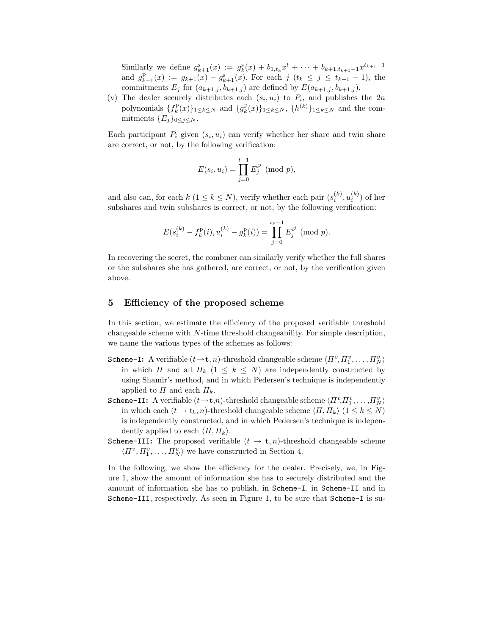Similarly we define  $g_{k+1}^s(x) := g_k^s(x) + b_{1,t_k}x^t + \cdots + b_{k+1,t_{k+1}-1}x^{t_{k+1}-1}$ and  $g_{k+1}^{\text{R}}(x) := g_{k+1}(x) - g_{k+1}^{\text{s}}(x)$ . For each  $j$   $(t_k \leq j \leq t_{k+1} - 1)$ , the commitments  $E_j$  for  $(a_{k+1,j}, b_{k+1,j})$  are defined by  $E(a_{k+1,j}, b_{k+1,j})$ .

(v) The dealer securely distributes each  $(s_i, u_i)$  to  $P_i$ , and publishes the  $2n$ polynomials  $\{f_k^{\text{P}}(x)\}_{1\leq k\leq N}$  and  $\{g_k^{\text{P}}(x)\}_{1\leq k\leq N}$ ,  $\{h^{(k)}\}_{1\leq k\leq N}$  and the com-<br>mitmonts  $\{F_k\}_{k\leq k\leq N}$ mitments  ${E_j}_{0 \leq j \leq N}$ .

Each participant  $P_i$  given  $(s_i, u_i)$  can verify whether her share and twin share are correct, or not, by the following verification:

$$
E(s_i, u_i) = \prod_{j=0}^{t-1} E_j^{i^j} \; (\text{mod } p),
$$

and also can, for each  $k$   $(1 \le k \le N)$ , verify whether each pair  $(s_i^{(k)}, u_i^{(k)})$  of her subshares and twin subshares is correct, or not, by the following verification:

$$
E(s_i^{(k)} - f_k^{\mathrm{p}}(i), u_i^{(k)} - g_k^{\mathrm{p}}(i)) = \prod_{j=0}^{t_k - 1} E_j^{i^j} \pmod{p}.
$$

In recovering the secret, the combiner can similarly verify whether the full shares or the subshares she has gathered, are correct, or not, by the verification given above.

#### **5 Efficiency of the proposed scheme**

In this section, we estimate the efficiency of the proposed verifiable threshold changeable scheme with N-time threshold changeability. For simple description, we name the various types of the schemes as follows:

- Scheme-I: A verifiable  $(t \to t, n)$ -threshold changeable scheme  $\langle \Pi^v, \Pi^v_1, \ldots, \Pi^v_N \rangle$ <br>in which  $H$  and all  $H_t$ ,  $(1 \leq k \leq N)$  are independently constructed by in which  $\Pi$  and all  $\Pi_k$   $(1 \leq k \leq N)$  are independently constructed by using Shamir's method, and in which Pedersen's technique is independently applied to  $\Pi$  and each  $\Pi_k$ .
- Scheme-II: A verifiable  $(t \to t, n)$ -threshold changeable scheme  $\langle \Pi^v, \Pi^v_1, \ldots, \Pi^v_N \rangle$ <br>in which sach  $(t \to t, n)$  threshold changeable scheme  $\langle \Pi, \Pi_1 \rangle$   $(1 \leq k \leq N)$ in which each  $(t \to t_k, n)$ -threshold changeable scheme  $\langle \Pi, \Pi_k \rangle$   $(1 \leq k \leq N)$ is independently constructed, and in which Pedersen's technique is independently applied to each  $\langle \Pi, \Pi_k \rangle$ .
- **Scheme-III:** The proposed verifiable  $(t \rightarrow t, n)$ -threshold changeable scheme  $\langle \Pi^v, \Pi^v_1, \ldots, \Pi^v_N \rangle$  we have constructed in Section 4.

In the following, we show the efficiency for the dealer. Precisely, we, in Figure 1, show the amount of information she has to securely distributed and the amount of information she has to publish, in Scheme-I, in Scheme-II and in Scheme-III, respectively. As seen in Figure 1, to be sure that Scheme-I is su-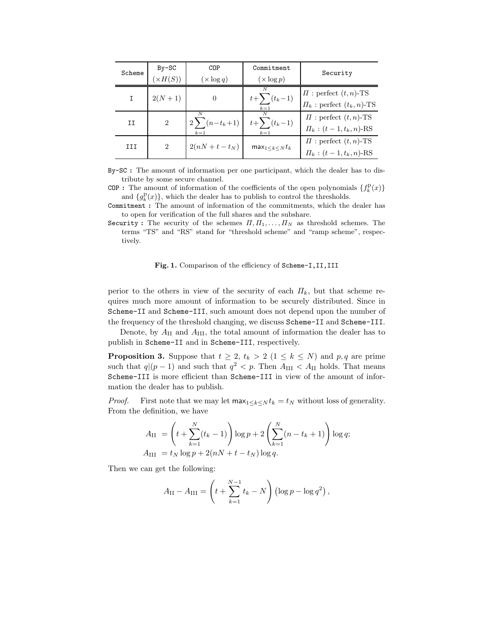| Scheme | $By-SC$<br>$(\times H(S))$ | COP<br>$(\times \log q)$    | Commitment<br>$(\times \log p)$ | Security                                                         |
|--------|----------------------------|-----------------------------|---------------------------------|------------------------------------------------------------------|
| I.     | $2(N + 1)$                 | 0                           | N<br>$t+\sum(t_k-1)$<br>$k=1$   | $\Pi$ : perfect $(t, n)$ -TS<br>$\Pi_k$ : perfect $(t_k, n)$ -TS |
| II     | $\overline{2}$             | $2\sum(n-t_{k}+1)$<br>$k=1$ | $t+\sum(t_{k}-1)$<br>$k=1$      | $\Pi$ : perfect $(t, n)$ -TS<br>$\Pi_k$ : $(t-1, t_k, n)$ -RS    |
| III    | $\overline{2}$             | $2(nN+t-t_N)$               | $max_{1 \leq k \leq N} t_k$     | $\Pi$ : perfect $(t, n)$ -TS<br>$\Pi_k$ : $(t-1, t_k, n)$ -RS    |

By-SC **:** The amount of information per one participant, which the dealer has to distribute by some secure channel.

COP : The amount of information of the coefficients of the open polynomials  $\{f_k^P(x)\}\$ and  ${g_k^D(x)}$ , which the dealer has to publish to control the thresholds.

Commitment **:** The amount of information of the commitments, which the dealer has to open for verification of the full shares and the subshare.

Security **:** The security of the schemes  $\Pi, \Pi_1, \ldots, \Pi_N$  as threshold schemes. The terms "TS" and "RS" stand for "threshold scheme" and "ramp scheme", respectively.

#### Fig. 1. Comparison of the efficiency of Scheme-I, II, III

perior to the others in view of the security of each  $\Pi_k$ , but that scheme requires much more amount of information to be securely distributed. Since in Scheme-II and Scheme-III, such amount does not depend upon the number of the frequency of the threshold changing, we discuss Scheme-II and Scheme-III.

Denote, by  $A_{\rm II}$  and  $A_{\rm III}$ , the total amount of information the dealer has to publish in Scheme-II and in Scheme-III, respectively.

**Proposition 3.** Suppose that  $t \geq 2$ ,  $t_k > 2$   $(1 \leq k \leq N)$  and  $p, q$  are prime such that  $q|(p-1)$  and such that  $q^2 < p$ . Then  $A_{\text{III}} < A_{\text{II}}$  holds. That means Scheme-III is more efficient than Scheme-III in view of the amount of information the dealer has to publish.

*Proof.* First note that we may let  $\max_{1 \leq k \leq N} t_k = t_N$  without loss of generality. From the definition, we have

$$
A_{II} = \left(t + \sum_{k=1}^{N} (t_k - 1)\right) \log p + 2 \left(\sum_{k=1}^{N} (n - t_k + 1)\right) \log q;
$$
  
\n
$$
A_{III} = t_N \log p + 2(nN + t - t_N) \log q.
$$

Then we can get the following:

$$
A_{\rm II} - A_{\rm III} = \left( t + \sum_{k=1}^{N-1} t_k - N \right) \left( \log p - \log q^2 \right),
$$